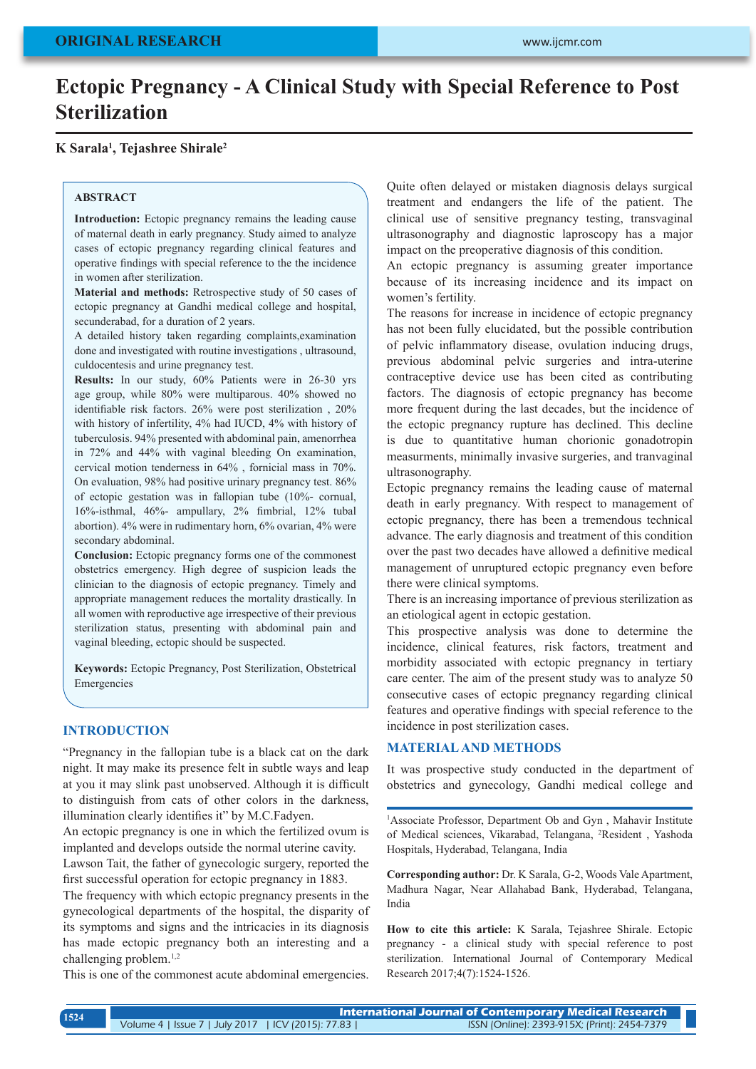# **Ectopic Pregnancy - A Clinical Study with Special Reference to Post Sterilization**

# **K Sarala1 , Tejashree Shirale2**

## **ABSTRACT**

**Introduction:** Ectopic pregnancy remains the leading cause of maternal death in early pregnancy. Study aimed to analyze cases of ectopic pregnancy regarding clinical features and operative findings with special reference to the the incidence in women after sterilization.

**Material and methods:** Retrospective study of 50 cases of ectopic pregnancy at Gandhi medical college and hospital, secunderabad, for a duration of 2 years.

A detailed history taken regarding complaints,examination done and investigated with routine investigations , ultrasound, culdocentesis and urine pregnancy test.

**Results:** In our study, 60% Patients were in 26-30 yrs age group, while 80% were multiparous. 40% showed no identifiable risk factors. 26% were post sterilization , 20% with history of infertility, 4% had IUCD, 4% with history of tuberculosis. 94% presented with abdominal pain, amenorrhea in 72% and 44% with vaginal bleeding On examination, cervical motion tenderness in 64% , fornicial mass in 70%. On evaluation, 98% had positive urinary pregnancy test. 86% of ectopic gestation was in fallopian tube (10%- cornual, 16%-isthmal, 46%- ampullary, 2% fimbrial, 12% tubal abortion). 4% were in rudimentary horn, 6% ovarian, 4% were secondary abdominal.

**Conclusion:** Ectopic pregnancy forms one of the commonest obstetrics emergency. High degree of suspicion leads the clinician to the diagnosis of ectopic pregnancy. Timely and appropriate management reduces the mortality drastically. In all women with reproductive age irrespective of their previous sterilization status, presenting with abdominal pain and vaginal bleeding, ectopic should be suspected.

**Keywords:** Ectopic Pregnancy, Post Sterilization, Obstetrical Emergencies

#### **INTRODUCTION**

"Pregnancy in the fallopian tube is a black cat on the dark night. It may make its presence felt in subtle ways and leap at you it may slink past unobserved. Although it is difficult to distinguish from cats of other colors in the darkness, illumination clearly identifies it" by M.C.Fadyen.

An ectopic pregnancy is one in which the fertilized ovum is implanted and develops outside the normal uterine cavity.

Lawson Tait, the father of gynecologic surgery, reported the first successful operation for ectopic pregnancy in 1883.

The frequency with which ectopic pregnancy presents in the gynecological departments of the hospital, the disparity of its symptoms and signs and the intricacies in its diagnosis has made ectopic pregnancy both an interesting and a challenging problem.1,2

This is one of the commonest acute abdominal emergencies.

Quite often delayed or mistaken diagnosis delays surgical treatment and endangers the life of the patient. The clinical use of sensitive pregnancy testing, transvaginal ultrasonography and diagnostic laproscopy has a major impact on the preoperative diagnosis of this condition.

An ectopic pregnancy is assuming greater importance because of its increasing incidence and its impact on women's fertility.

The reasons for increase in incidence of ectopic pregnancy has not been fully elucidated, but the possible contribution of pelvic inflammatory disease, ovulation inducing drugs, previous abdominal pelvic surgeries and intra-uterine contraceptive device use has been cited as contributing factors. The diagnosis of ectopic pregnancy has become more frequent during the last decades, but the incidence of the ectopic pregnancy rupture has declined. This decline is due to quantitative human chorionic gonadotropin measurments, minimally invasive surgeries, and tranvaginal ultrasonography.

Ectopic pregnancy remains the leading cause of maternal death in early pregnancy. With respect to management of ectopic pregnancy, there has been a tremendous technical advance. The early diagnosis and treatment of this condition over the past two decades have allowed a definitive medical management of unruptured ectopic pregnancy even before there were clinical symptoms.

There is an increasing importance of previous sterilization as an etiological agent in ectopic gestation.

This prospective analysis was done to determine the incidence, clinical features, risk factors, treatment and morbidity associated with ectopic pregnancy in tertiary care center. The aim of the present study was to analyze 50 consecutive cases of ectopic pregnancy regarding clinical features and operative findings with special reference to the incidence in post sterilization cases.

#### **MATERIAL AND METHODS**

It was prospective study conducted in the department of obstetrics and gynecology, Gandhi medical college and

<sup>1</sup>Associate Professor, Department Ob and Gyn, Mahavir Institute of Medical sciences, Vikarabad, Telangana, <sup>2</sup> Resident , Yashoda Hospitals, Hyderabad, Telangana, India

**Corresponding author:** Dr. K Sarala, G-2, Woods Vale Apartment, Madhura Nagar, Near Allahabad Bank, Hyderabad, Telangana, India

**How to cite this article:** K Sarala, Tejashree Shirale. Ectopic pregnancy - a clinical study with special reference to post sterilization. International Journal of Contemporary Medical Research 2017;4(7):1524-1526.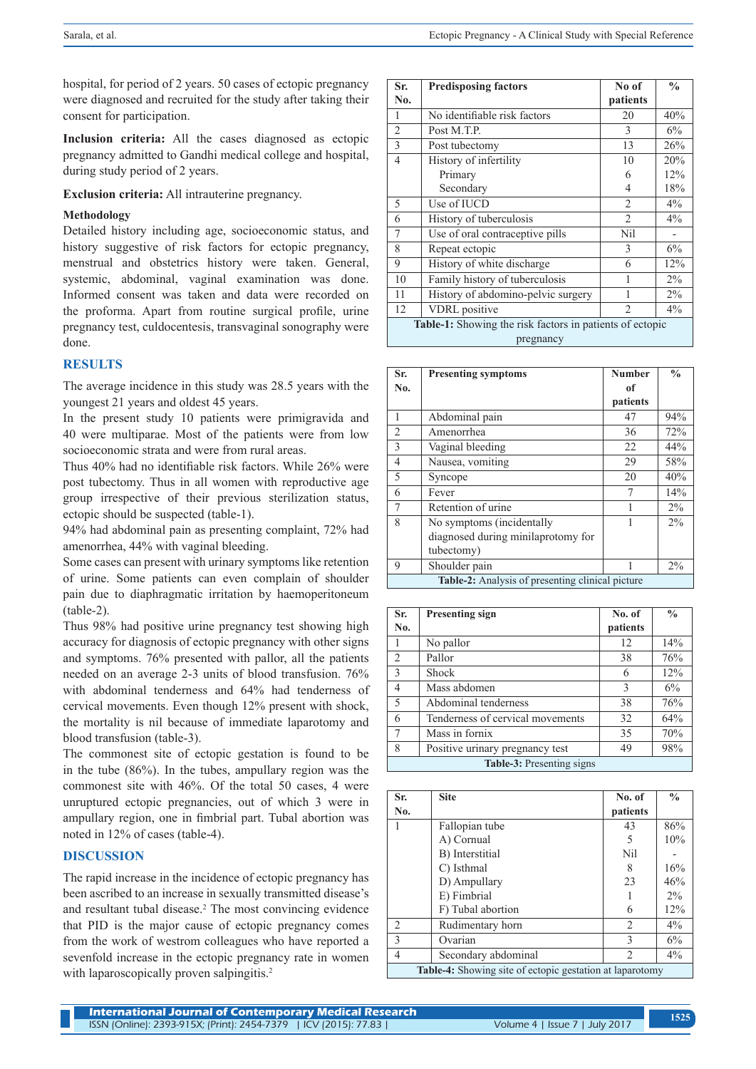hospital, for period of 2 years. 50 cases of ectopic pregnancy were diagnosed and recruited for the study after taking their consent for participation.

**Inclusion criteria:** All the cases diagnosed as ectopic pregnancy admitted to Gandhi medical college and hospital, during study period of 2 years.

**Exclusion criteria:** All intrauterine pregnancy.

#### **Methodology**

Detailed history including age, socioeconomic status, and history suggestive of risk factors for ectopic pregnancy, menstrual and obstetrics history were taken. General, systemic, abdominal, vaginal examination was done. Informed consent was taken and data were recorded on the proforma. Apart from routine surgical profile, urine pregnancy test, culdocentesis, transvaginal sonography were done.

#### **RESULTS**

The average incidence in this study was 28.5 years with the youngest 21 years and oldest 45 years.

In the present study 10 patients were primigravida and 40 were multiparae. Most of the patients were from low socioeconomic strata and were from rural areas.

Thus 40% had no identifiable risk factors. While 26% were post tubectomy. Thus in all women with reproductive age group irrespective of their previous sterilization status, ectopic should be suspected (table-1).

94% had abdominal pain as presenting complaint, 72% had amenorrhea, 44% with vaginal bleeding.

Some cases can present with urinary symptoms like retention of urine. Some patients can even complain of shoulder pain due to diaphragmatic irritation by haemoperitoneum (table-2).

Thus 98% had positive urine pregnancy test showing high accuracy for diagnosis of ectopic pregnancy with other signs and symptoms. 76% presented with pallor, all the patients needed on an average 2-3 units of blood transfusion. 76% with abdominal tenderness and 64% had tenderness of cervical movements. Even though 12% present with shock, the mortality is nil because of immediate laparotomy and blood transfusion (table-3).

The commonest site of ectopic gestation is found to be in the tube (86%). In the tubes, ampullary region was the commonest site with 46%. Of the total 50 cases, 4 were unruptured ectopic pregnancies, out of which 3 were in ampullary region, one in fimbrial part. Tubal abortion was noted in 12% of cases (table-4).

## **DISCUSSION**

The rapid increase in the incidence of ectopic pregnancy has been ascribed to an increase in sexually transmitted disease's and resultant tubal disease.<sup>2</sup> The most convincing evidence that PID is the major cause of ectopic pregnancy comes from the work of westrom colleagues who have reported a sevenfold increase in the ectopic pregnancy rate in women with laparoscopically proven salpingitis.<sup>2</sup>

| Sr.                                                      | <b>Predisposing factors</b>        | No of          | $\frac{0}{0}$ |  |
|----------------------------------------------------------|------------------------------------|----------------|---------------|--|
| No.                                                      |                                    | patients       |               |  |
| 1                                                        | No identifiable risk factors       | 20             | 40%           |  |
| $\overline{2}$                                           | Post M.T.P.                        | 3              | 6%            |  |
| 3                                                        | Post tubectomy                     | 13             | 26%           |  |
| $\overline{4}$                                           | History of infertility             | 10             | 20%           |  |
|                                                          | Primary                            | 6              | 12%           |  |
|                                                          | Secondary                          | 4              | 18%           |  |
| 5                                                        | Use of IUCD                        | $\overline{2}$ | $4\%$         |  |
| 6                                                        | History of tuberculosis            | $\mathfrak{D}$ | $4\%$         |  |
| 7                                                        | Use of oral contraceptive pills    | Nil            |               |  |
| 8                                                        | Repeat ectopic                     | 3              | 6%            |  |
| 9                                                        | History of white discharge         | 6              | 12%           |  |
| 10                                                       | Family history of tuberculosis     | 1              | $2\%$         |  |
| 11                                                       | History of abdomino-pelvic surgery |                | $2\%$         |  |
| 12                                                       | <b>VDRL</b> positive               | $\overline{2}$ | $4\%$         |  |
| Table-1: Showing the risk factors in patients of ectopic |                                    |                |               |  |
| pregnancy                                                |                                    |                |               |  |

| Sr.                                                     | <b>Presenting symptoms</b>         | <b>Number</b> | $\frac{0}{0}$ |
|---------------------------------------------------------|------------------------------------|---------------|---------------|
| No.                                                     |                                    | of            |               |
|                                                         |                                    | patients      |               |
| 1                                                       | Abdominal pain                     | 47            | 94%           |
| $\overline{2}$                                          | Amenorrhea                         | 36            | 72%           |
| 3                                                       | Vaginal bleeding                   | 22            | 44%           |
| $\overline{4}$                                          | Nausea, vomiting                   | 29            | 58%           |
| 5                                                       | Syncope                            | 20            | 40%           |
| 6                                                       | Fever                              |               | 14%           |
| 7                                                       | Retention of urine                 |               | $2\%$         |
| 8                                                       | No symptoms (incidentally          |               | $2\%$         |
|                                                         | diagnosed during minilaprotomy for |               |               |
|                                                         | tubectomy)                         |               |               |
| 9                                                       | Shoulder pain                      |               | $2\%$         |
| <b>Table-2:</b> Analysis of presenting clinical picture |                                    |               |               |

| Sr.                              | <b>Presenting sign</b>           | No. of   | $\frac{0}{0}$ |  |
|----------------------------------|----------------------------------|----------|---------------|--|
| No.                              |                                  | patients |               |  |
| 1                                | No pallor                        | 12       | 14%           |  |
| $\overline{2}$                   | Pallor                           | 38       | 76%           |  |
| 3                                | <b>Shock</b>                     | 6        | 12%           |  |
| 4                                | Mass abdomen                     | 3        | 6%            |  |
| 5                                | Abdominal tenderness             | 38       | 76%           |  |
| 6                                | Tenderness of cervical movements | 32       | 64%           |  |
| 7                                | Mass in fornix                   | 35       | 70%           |  |
| 8                                | Positive urinary pregnancy test  | 49       | 98%           |  |
| <b>Table-3:</b> Presenting signs |                                  |          |               |  |

| Sr.                                                             | <b>Site</b>         | No. of         | $\frac{0}{0}$ |
|-----------------------------------------------------------------|---------------------|----------------|---------------|
| No.                                                             |                     | patients       |               |
|                                                                 | Fallopian tube      | 43             | 86%           |
|                                                                 | A) Cornual          | 5              | 10%           |
|                                                                 | B) Interstitial     | Nil            |               |
|                                                                 | C) Isthmal          | 8              | 16%           |
|                                                                 | D) Ampullary        | 23             | 46%           |
|                                                                 | E) Fimbrial         |                | $2\%$         |
|                                                                 | F) Tubal abortion   | 6              | 12%           |
| $\mathfrak{D}_{\mathfrak{p}}$                                   | Rudimentary horn    | 2              | $4\%$         |
| $\mathcal{E}$                                                   | Ovarian             | 3              | 6%            |
| $\overline{4}$                                                  | Secondary abdominal | $\overline{2}$ | 4%            |
| <b>Table-4:</b> Showing site of ectopic gestation at laparotomy |                     |                |               |